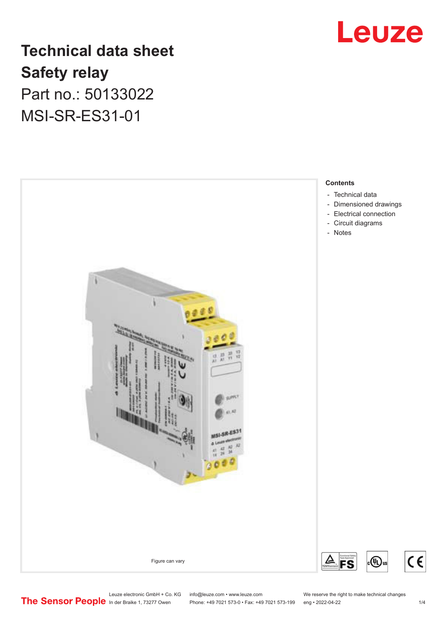

## **Technical data sheet Safety relay** Part no.: 50133022 MSI-SR-ES31-01



- [Technical data](#page-1-0)
- [Dimensioned drawings](#page-2-0)
- [Electrical connection](#page-2-0)
- [Circuit diagrams](#page-3-0)

 $c \in$ 

(h)

l IIS

Leuze electronic GmbH + Co. KG info@leuze.com • www.leuze.com We reserve the right to make technical changes<br>
The Sensor People in der Braike 1, 73277 Owen Phone: +49 7021 573-0 • Fax: +49 7021 573-199 eng • 2022-04-22

Phone: +49 7021 573-0 • Fax: +49 7021 573-199 eng • 2022-04-22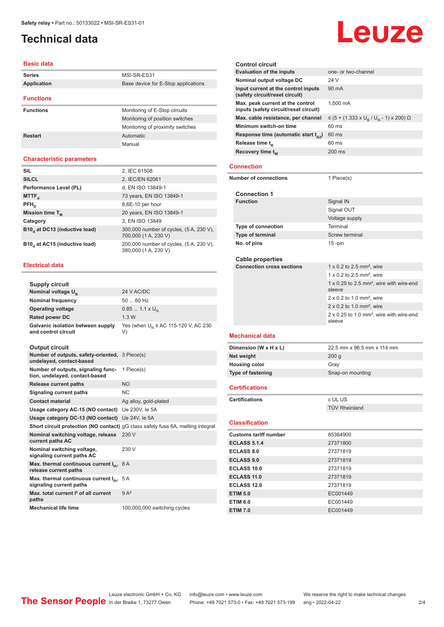### <span id="page-1-0"></span>**Technical data**

#### **Basic data**

| <b>Series</b>    | MSI-SR-ES31                         |
|------------------|-------------------------------------|
| Application      | Base device for E-Stop applications |
|                  |                                     |
| <b>Functions</b> |                                     |
| <b>Functions</b> | Monitoring of E-Stop circuits       |
|                  | Monitoring of position switches     |
|                  | Monitoring of proximity switches    |
| <b>Restart</b>   | Automatic                           |
|                  | Manual                              |
|                  |                                     |

#### **Characteristic parameters**

| <b>SIL</b>                                             | 2, IEC 61508                                                    |
|--------------------------------------------------------|-----------------------------------------------------------------|
| <b>SILCL</b>                                           | 2, IEC/EN 62061                                                 |
| Performance Level (PL)                                 | d, EN ISO 13849-1                                               |
| MTTF <sub>d</sub>                                      | 73 years, EN ISO 13849-1                                        |
| $PFH_n$                                                | 8,6E-10 per hour                                                |
| Mission time T <sub>M</sub>                            | 20 years, EN ISO 13849-1                                        |
| Category                                               | 3, EN ISO 13849                                                 |
| B <sub>10</sub> , at DC <sub>13</sub> (inductive load) | 300,000 number of cycles, (5 A, 230 V),<br>700,000 (1 A, 230 V) |
| B10, at AC15 (inductive load)                          | 200,000 number of cycles, (5 A, 230 V),<br>380,000 (1 A, 230 V) |

#### **Electrical data**

| Supply circuit                                                               |                                                                                        |
|------------------------------------------------------------------------------|----------------------------------------------------------------------------------------|
| Nominal voltage U <sub>N</sub>                                               | 24 V AC/DC                                                                             |
| <b>Nominal frequency</b>                                                     | $5060$ Hz                                                                              |
| <b>Operating voltage</b>                                                     | $0.851.1 \times U_{N}$                                                                 |
| <b>Rated power DC</b>                                                        | 1.3W                                                                                   |
| Galvanic isolation between supply<br>and control circuit                     | Yes (when $U_{N}$ ≥ AC 115-120 V, AC 230<br>V)                                         |
| <b>Output circuit</b>                                                        |                                                                                        |
| Number of outputs, safety-oriented, 3 Piece(s)<br>undelayed, contact-based   |                                                                                        |
| Number of outputs, signaling func-<br>tion, undelayed, contact-based         | 1 Piece(s)                                                                             |
| <b>Release current paths</b>                                                 | <b>NO</b>                                                                              |
| Signaling current paths                                                      | <b>NC</b>                                                                              |
| <b>Contact material</b>                                                      | Ag alloy, gold-plated                                                                  |
| Usage category AC-15 (NO contact)                                            | Ue 230V, le 5A                                                                         |
| Usage category DC-13 (NO contact)                                            | Ue 24V. le 5A                                                                          |
|                                                                              | <b>Short circuit protection (NO contact)</b> gG class safety fuse 6A, melting integral |
| Nominal switching voltage, release<br>current paths AC                       | 230 V                                                                                  |
| Nominal switching voltage,<br>signaling current paths AC                     | 230 V                                                                                  |
| Max. thermal continuous current $I_{th}$ ,<br>release current paths          | 8 A                                                                                    |
| Max. thermal continuous current I <sub>th</sub> ,<br>signaling current paths | 5 A                                                                                    |
| Max, total current I <sup>2</sup> of all current<br>paths                    | $9A^2$                                                                                 |
| <b>Mechanical life time</b>                                                  | 100,000,000 switching cycles                                                           |

#### **Control circuit Evaluation of the inputs** one- or two-channel **Nominal output voltage DC** 24 V **Input current at the control inputs (safety circuit/reset circuit)** 90 mA **Max. peak current at the control inputs (safety circuit/reset circuit)** 1,500 mA Max. cable resistance, per channel , / U<sub>N</sub> - 1) x 200) Ω **Minimum switch-on time** 60 ms **Response time (automatic start t<sub>A2</sub>)** 60 ms **Release time t<sub>R</sub>** 60 ms **Recovery time t<sub>w</sub> 200 ms Connection Number of connections** 1 Piece(s) **Connection 1 Signal IN** Signal OUT Voltage supply **Type of connection** Terminal **Type of terminal** Screw terminal **No. of pins** 15 -pin **Cable properties Connection cross sections** 1 x 0.2 to 2.5 mm<sup>2</sup>, wire  $1 \times 0.2$  to  $2.5$  mm<sup>2</sup> wire 1 x 0.25 to 2.5 mm², wire with wire-end sleeve  $2 \times 0.2$  to 1.0 mm<sup>2</sup> wire 2 x 0.2 to 1.0 mm², wire 2 x 0.25 to 1.0 mm², wire with wire-end sleeve **Mechanical data Dimension (W x H x L)** 22.5 mm x 96.5 mm x 114 mm **Net weight** 200 g **Housing color** Gray **Type of fastening** Snap-on mounting **Certifications Certifications** c UL US TÜV Rheinland **Classification Customs tariff number** 85364900 **ECLASS 5.1.4** 27371800 **ECLASS 8.0** 27371819 **ECLASS 9.0** 27371819 **ECLASS 10.0** 27371819 **ECLASS 11.0** 27371819 **ECLASS 12.0** 27371819 **ETIM 5.0** EC001449 **ETIM 6.0** EC001449 **ETIM 7.0** EC001449

## Leuze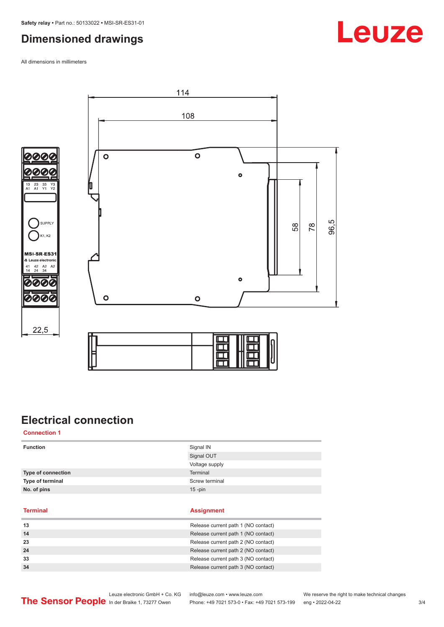### <span id="page-2-0"></span>**Dimensioned drawings**

All dimensions in millimeters





## **Electrical connection**

**Connection 1**

| <b>Function</b>    | Signal IN<br>Signal OUT<br>Voltage supply |
|--------------------|-------------------------------------------|
| Type of connection | Terminal                                  |
| Type of terminal   | Screw terminal                            |
| No. of pins        | $15$ -pin                                 |
|                    |                                           |
| <b>Terminal</b>    | <b>Assignment</b>                         |

| 13 | Release current path 1 (NO contact) |
|----|-------------------------------------|
| 14 | Release current path 1 (NO contact) |
| 23 | Release current path 2 (NO contact) |
| 24 | Release current path 2 (NO contact) |
| 33 | Release current path 3 (NO contact) |
| 34 | Release current path 3 (NO contact) |